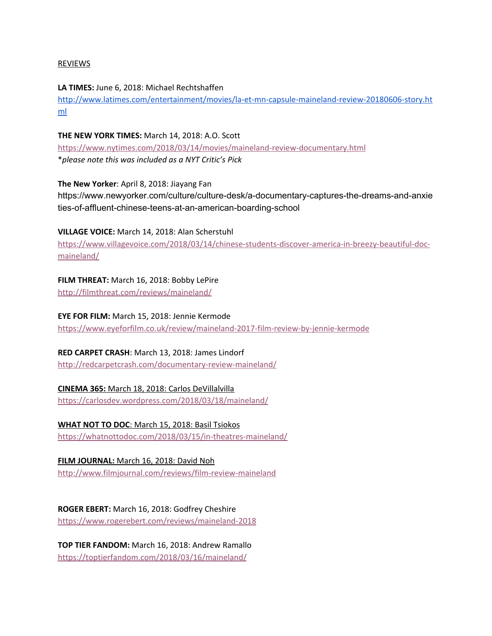## REVIEWS

**LA TIMES:** June 6, 2018: Michael Rechtshaffen [http://www.latimes.com/entertainment/movies/la-et-mn-capsule-maineland-review-20180606-story.ht](http://www.latimes.com/entertainment/movies/la-et-mn-capsule-maineland-review-20180606-story.html) [ml](http://www.latimes.com/entertainment/movies/la-et-mn-capsule-maineland-review-20180606-story.html)

**THE NEW YORK TIMES:** March 14, 2018: A.O. Scott <https://www.nytimes.com/2018/03/14/movies/maineland-review-documentary.html> \**please note this was included as a NYT Critic's Pick*

**The New Yorker**: April 8, 2018: Jiayang Fan https://www.newyorker.com/culture/culture-desk/a-documentary-captures-the-dreams-and-anxie ties-of-affluent-chinese-teens-at-an-american-boarding-school

**VILLAGE VOICE:** March 14, 2018: Alan Scherstuhl

[https://www.villagevoice.com/2018/03/14/chinese-students-discover-america-in-breezy-beautiful-doc](https://www.villagevoice.com/2018/03/14/chinese-students-discover-america-in-breezy-beautiful-doc-maineland/)[maineland/](https://www.villagevoice.com/2018/03/14/chinese-students-discover-america-in-breezy-beautiful-doc-maineland/)

**FILM THREAT:** March 16, 2018: Bobby LePire

<http://filmthreat.com/reviews/maineland/>

**EYE FOR FILM:** March 15, 2018: Jennie Kermode

<https://www.eyeforfilm.co.uk/review/maineland-2017-film-review-by-jennie-kermode>

**RED CARPET CRASH**: March 13, 2018: James Lindorf <http://redcarpetcrash.com/documentary-review-maineland/>

**CINEMA 365:** March 18, 2018: Carlos DeVillalvilla <https://carlosdev.wordpress.com/2018/03/18/maineland/>

**WHAT NOT TO DOC**: March 15, 2018: Basil Tsiokos

<https://whatnottodoc.com/2018/03/15/in-theatres-maineland/>

**FILM JOURNAL:** March 16, 2018: David Noh

<http://www.filmjournal.com/reviews/film-review-maineland>

**ROGER EBERT:** March 16, 2018: Godfrey Cheshire

<https://www.rogerebert.com/reviews/maineland-2018>

**TOP TIER FANDOM:** March 16, 2018: Andrew Ramallo <https://toptierfandom.com/2018/03/16/maineland/>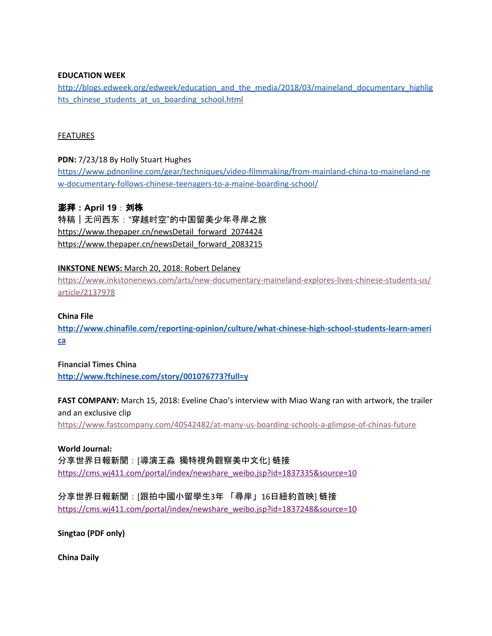### **EDUCATION WEEK**

[http://blogs.edweek.org/edweek/education\\_and\\_the\\_media/2018/03/maineland\\_documentary\\_highlig](http://blogs.edweek.org/edweek/education_and_the_media/2018/03/maineland_documentary_highlights_chinese_students_at_us_boarding_school.html) hts chinese students at us boarding school.html

### FEATURES

## **PDN:** 7/23/18 By Holly Stuart Hughes

[https://www.pdnonline.com/gear/techniques/video-filmmaking/from-mainland-china-to-maineland-ne](https://www.pdnonline.com/gear/techniques/video-filmmaking/from-mainland-china-to-maineland-new-documentary-follows-chinese-teenagers-to-a-maine-boarding-school/) [w-documentary-follows-chinese-teenagers-to-a-maine-boarding-school/](https://www.pdnonline.com/gear/techniques/video-filmmaking/from-mainland-china-to-maineland-new-documentary-follows-chinese-teenagers-to-a-maine-boarding-school/)

## 澎拜:**April 19**:刘栋

特稿 | 无问西东 : "穿越时空"的中国留美少年寻岸之旅 https://www.thepaper.cn/newsDetail forward 2074424 https://www.thepaper.cn/newsDetail forward 2083215

## **INKSTONE NEWS:** March 20, 2018: Robert Delaney

[https://www.inkstonenews.com/arts/new-documentary-maineland-explores-lives-chinese-students-us/](https://www.inkstonenews.com/arts/new-documentary-maineland-explores-lives-chinese-students-us/article/2137978) [article/2137978](https://www.inkstonenews.com/arts/new-documentary-maineland-explores-lives-chinese-students-us/article/2137978)

### **China File**

**[http://www.chinafile.com/reporting-opinion/culture/what-chinese-high-school-students-learn-ameri](http://www.chinafile.com/reporting-opinion/culture/what-chinese-high-school-students-learn-america) [ca](http://www.chinafile.com/reporting-opinion/culture/what-chinese-high-school-students-learn-america)**

**Financial Times China <http://www.ftchinese.com/story/001076773?full=y>**

**FAST COMPANY:** March 15, 2018: Eveline Chao's interview with Miao Wang ran with artwork, the trailer and an exclusive clip <https://www.fastcompany.com/40542482/at-many-us-boarding-schools-a-glimpse-of-chinas-future>

**World Journal:**

分享世界日報新聞:[導演王淼 獨特視角觀察美中文化] 链接 [https://cms.wj411.com/portal/index/newshare\\_weibo.jsp?id=1837335&source=10](https://cms.wj411.com/portal/index/newshare_weibo.jsp?id=1837335&source=10)

分享世界日報新聞:[跟拍中國小留學生3年 「尋岸」16日紐約首映] 链接 [https://cms.wj411.com/portal/index/newshare\\_weibo.jsp?id=1837248&source=10](https://cms.wj411.com/portal/index/newshare_weibo.jsp?id=1837248&source=10)

**Singtao (PDF only)**

**China Daily**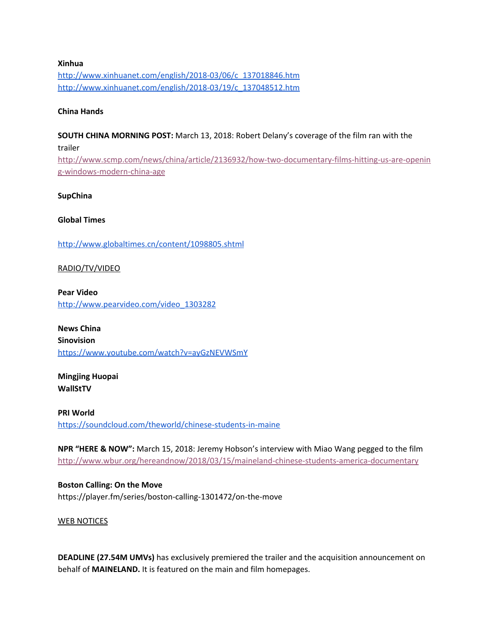# **Xinhua** [http://www.xinhuanet.com/english/2018-03/06/c\\_137018846.htm](http://www.xinhuanet.com/english/2018-03/06/c_137018846.htm) [http://www.xinhuanet.com/english/2018-03/19/c\\_137048512.htm](http://www.xinhuanet.com/english/2018-03/19/c_137048512.htm)

## **China Hands**

**SOUTH CHINA MORNING POST:** March 13, 2018: Robert Delany's coverage of the film ran with the trailer

[http://www.scmp.com/news/china/article/2136932/how-two-documentary-films-hitting-us-are-openin](http://www.scmp.com/news/china/article/2136932/how-two-documentary-films-hitting-us-are-opening-windows-modern-china-age) [g-windows-modern-china-age](http://www.scmp.com/news/china/article/2136932/how-two-documentary-films-hitting-us-are-opening-windows-modern-china-age)

### **SupChina**

### **Global Times**

<http://www.globaltimes.cn/content/1098805.shtml>

RADIO/TV/VIDEO

**Pear Video** [http://www.pearvideo.com/video\\_1303282](http://www.pearvideo.com/video_1303282)

**News China Sinovision** <https://www.youtube.com/watch?v=ayGzNEVWSmY>

**Mingjing Huopai WallStTV**

**PRI World** <https://soundcloud.com/theworld/chinese-students-in-maine>

**NPR "HERE & NOW":** March 15, 2018: Jeremy Hobson's interview with Miao Wang pegged to the film <http://www.wbur.org/hereandnow/2018/03/15/maineland-chinese-students-america-documentary>

**Boston Calling: On the Move** https://player.fm/series/boston-calling-1301472/on-the-move

### WEB NOTICES

**DEADLINE (27.54M UMVs)** has exclusively premiered the trailer and the acquisition announcement on behalf of **MAINELAND.** It is featured on the main and film homepages.